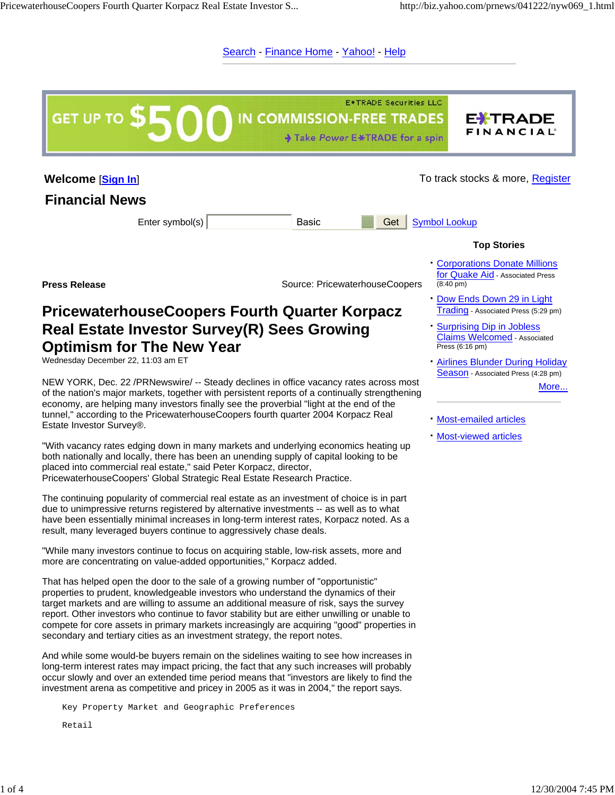Search - Finance Home - Yahoo! - Help

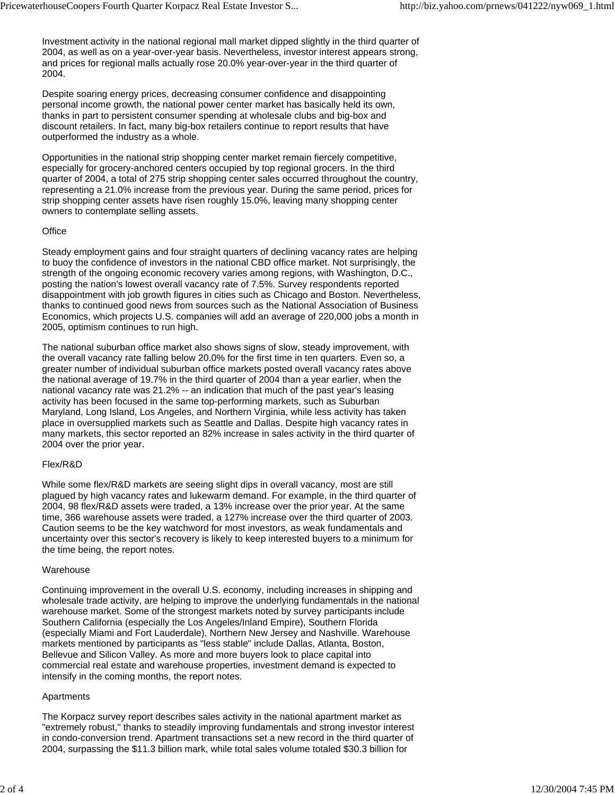Investment activity in the national regional mall market dipped slightly in the third quarter of 2004, as well as on a year-over-year basis. Nevertheless, investor interest appears strong, and prices for regional malls actually rose 20.0% year-over-year in the third quarter of 2004.

Despite soaring energy prices, decreasing consumer confidence and disappointing personal income growth, the national power center market has basically held its own, thanks in part to persistent consumer spending at wholesale clubs and big-box and discount retailers. In fact, many big-box retailers continue to report results that have outperformed the industry as a whole.

Opportunities in the national strip shopping center market remain fiercely competitive, especially for grocery-anchored centers occupied by top regional grocers. In the third quarter of 2004, a total of 275 strip shopping center sales occurred throughout the country, representing a 21.0% increase from the previous year. During the same period, prices for strip shopping center assets have risen roughly 15.0%, leaving many shopping center owners to contemplate selling assets.

# **Office**

Steady employment gains and four straight quarters of declining vacancy rates are helping to buoy the confidence of investors in the national CBD office market. Not surprisingly, the strength of the ongoing economic recovery varies among regions, with Washington, D.C., posting the nation's lowest overall vacancy rate of 7.5%. Survey respondents reported disappointment with job growth figures in cities such as Chicago and Boston. Nevertheless, thanks to continued good news from sources such as the National Association of Business Economics, which projects U.S. companies will add an average of 220,000 jobs a month in 2005, optimism continues to run high.

The national suburban office market also shows signs of slow, steady improvement, with the overall vacancy rate falling below 20.0% for the first time in ten quarters. Even so, a greater number of individual suburban office markets posted overall vacancy rates above the national average of 19.7% in the third quarter of 2004 than a year earlier, when the national vacancy rate was 21.2% -- an indication that much of the past year's leasing activity has been focused in the same top-performing markets, such as Suburban Maryland, Long Island, Los Angeles, and Northern Virginia, while less activity has taken place in oversupplied markets such as Seattle and Dallas. Despite high vacancy rates in many markets, this sector reported an 82% increase in sales activity in the third quarter of 2004 over the prior year.

### Flex/R&D

While some flex/R&D markets are seeing slight dips in overall vacancy, most are still plagued by high vacancy rates and lukewarm demand. For example, in the third quarter of 2004, 98 flex/R&D assets were traded, a 13% increase over the prior year. At the same time, 366 warehouse assets were traded, a 127% increase over the third quarter of 2003. Caution seems to be the key watchword for most investors, as weak fundamentals and uncertainty over this sector's recovery is likely to keep interested buyers to a minimum for the time being, the report notes.

### Warehouse

Continuing improvement in the overall U.S. economy, including increases in shipping and wholesale trade activity, are helping to improve the underlying fundamentals in the national warehouse market. Some of the strongest markets noted by survey participants include Southern California (especially the Los Angeles/Inland Empire), Southern Florida (especially Miami and Fort Lauderdale), Northern New Jersey and Nashville. Warehouse markets mentioned by participants as "less stable" include Dallas, Atlanta, Boston, Bellevue and Silicon Valley. As more and more buyers look to place capital into commercial real estate and warehouse properties, investment demand is expected to intensify in the coming months, the report notes.

### Apartments

The Korpacz survey report describes sales activity in the national apartment market as "extremely robust," thanks to steadily improving fundamentals and strong investor interest in condo-conversion trend. Apartment transactions set a new record in the third quarter of 2004, surpassing the \$11.3 billion mark, while total sales volume totaled \$30.3 billion for